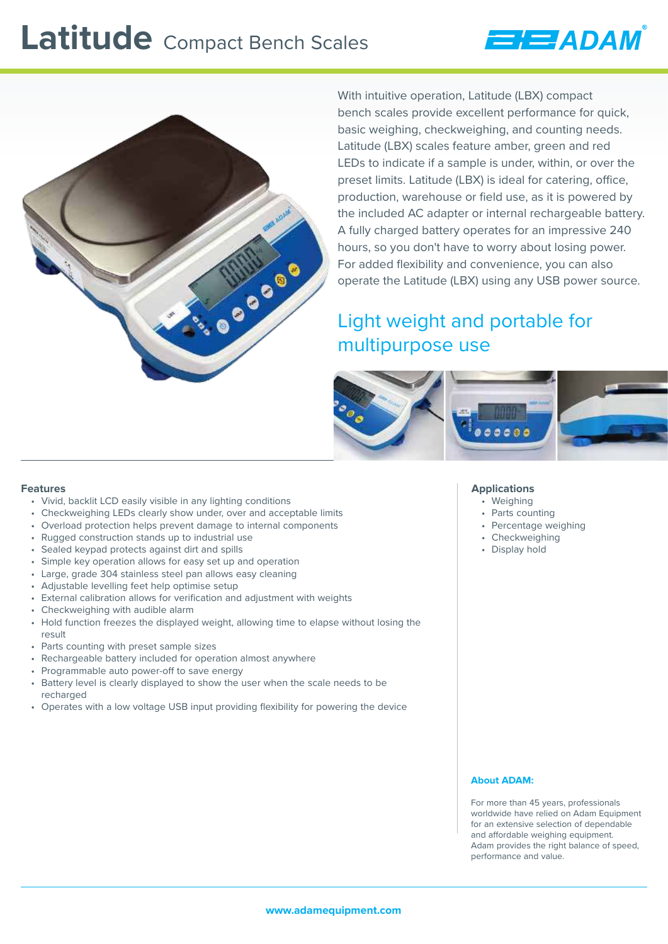# Latitude Compact Bench Scales



With intuitive operation, Latitude (LBX) compact bench scales provide excellent performance for quick, basic weighing, checkweighing, and counting needs. Latitude (LBX) scales feature amber, green and red LEDs to indicate if a sample is under, within, or over the preset limits. Latitude (LBX) is ideal for catering, office, production, warehouse or field use, as it is powered by the included AC adapter or internal rechargeable battery. A fully charged battery operates for an impressive 240 hours, so you don't have to worry about losing power. For added flexibility and convenience, you can also operate the Latitude (LBX) using any USB power source.

**EJEJADAN** 

# Light weight and portable for multipurpose use



#### **Features**

- Vivid, backlit LCD easily visible in any lighting conditions
- Checkweighing LEDs clearly show under, over and acceptable limits
- Overload protection helps prevent damage to internal components
- Rugged construction stands up to industrial use
- Sealed keypad protects against dirt and spills
- Simple key operation allows for easy set up and operation
- Large, grade 304 stainless steel pan allows easy cleaning
- Adjustable levelling feet help optimise setup
- External calibration allows for verification and adjustment with weights
- Checkweighing with audible alarm
- Hold function freezes the displayed weight, allowing time to elapse without losing the result
- Parts counting with preset sample sizes
- Rechargeable battery included for operation almost anywhere
- Programmable auto power-off to save energy
- Battery level is clearly displayed to show the user when the scale needs to be recharged
- Operates with a low voltage USB input providing flexibility for powering the device

### **Applications**

- Weighing
- Parts counting
- Percentage weighing
- Checkweighing
- Display hold

#### **About ADAM:**

For more than 45 years, professionals worldwide have relied on Adam Equipment for an extensive selection of dependable and affordable weighing equipment. Adam provides the right balance of speed, performance and value.